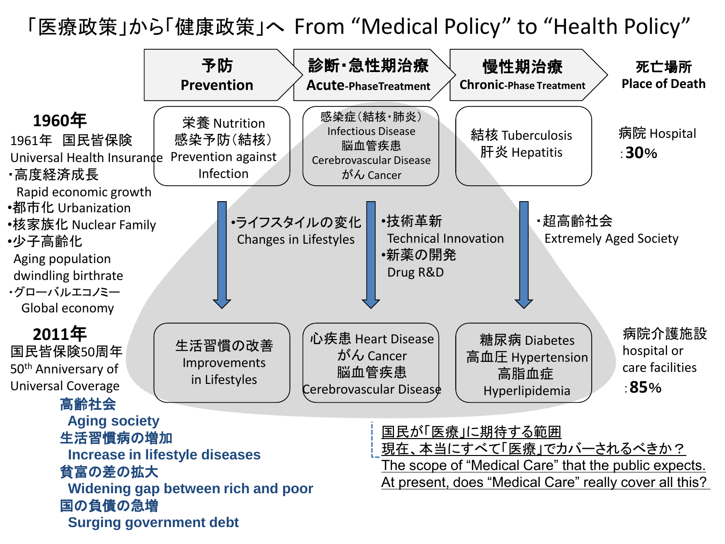「医療政策」から「健康政策」へ From "Medical Policy" to "Health Policy"